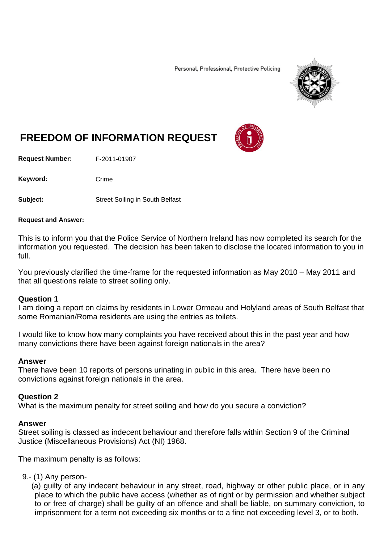Personal, Professional, Protective Policing



# **FREEDOM OF INFORMATION REQUEST**

**Request Number:** F-2011-01907

Keyword: Crime

**Subject:** Street Soiling in South Belfast

#### **Request and Answer:**

This is to inform you that the Police Service of Northern Ireland has now completed its search for the information you requested. The decision has been taken to disclose the located information to you in full.

You previously clarified the time-frame for the requested information as May 2010 – May 2011 and that all questions relate to street soiling only.

#### **Question 1**

I am doing a report on claims by residents in Lower Ormeau and Holyland areas of South Belfast that some Romanian/Roma residents are using the entries as toilets.

I would like to know how many complaints you have received about this in the past year and how many convictions there have been against foreign nationals in the area?

#### **Answer**

There have been 10 reports of persons urinating in public in this area. There have been no convictions against foreign nationals in the area.

#### **Question 2**

What is the maximum penalty for street soiling and how do you secure a conviction?

#### **Answer**

Street soiling is classed as indecent behaviour and therefore falls within Section 9 of the Criminal Justice (Miscellaneous Provisions) Act (NI) 1968.

The maximum penalty is as follows:

### 9.- (1) Any person-

(a) guilty of any indecent behaviour in any street, road, highway or other public place, or in any place to which the public have access (whether as of right or by permission and whether subject to or free of charge) shall be guilty of an offence and shall be liable, on summary conviction, to imprisonment for a term not exceeding six months or to a fine not exceeding level 3, or to both.